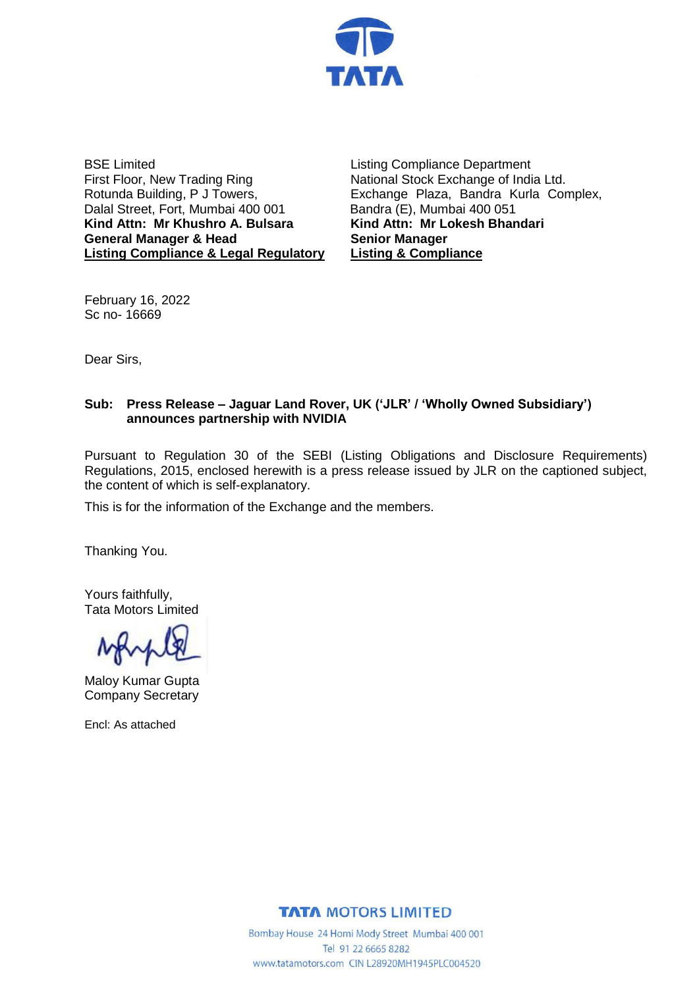

BSE Limited First Floor, New Trading Ring Rotunda Building, P J Towers, Dalal Street, Fort, Mumbai 400 001 **Kind Attn: Mr Khushro A. Bulsara General Manager & Head Listing Compliance & Legal Regulatory** Listing Compliance Department National Stock Exchange of India Ltd. Exchange Plaza, Bandra Kurla Complex, Bandra (E), Mumbai 400 051 **Kind Attn: Mr Lokesh Bhandari Senior Manager Listing & Compliance**

February 16, 2022 Sc no- 16669

Dear Sirs,

### **Sub: Press Release – Jaguar Land Rover, UK ('JLR' / 'Wholly Owned Subsidiary') announces partnership with NVIDIA**

Pursuant to Regulation 30 of the SEBI (Listing Obligations and Disclosure Requirements) Regulations, 2015, enclosed herewith is a press release issued by JLR on the captioned subject, the content of which is self-explanatory.

This is for the information of the Exchange and the members.

Thanking You.

Yours faithfully, Tata Motors Limited

Maloy Kumar Gupta Company Secretary

Encl: As attached

**TATA MOTORS LIMITED** 

Bombay House 24 Homi Mody Street Mumbai 400 001 Tel 91 22 6665 8282 www.tatamotors.com CIN L28920MH1945PLC004520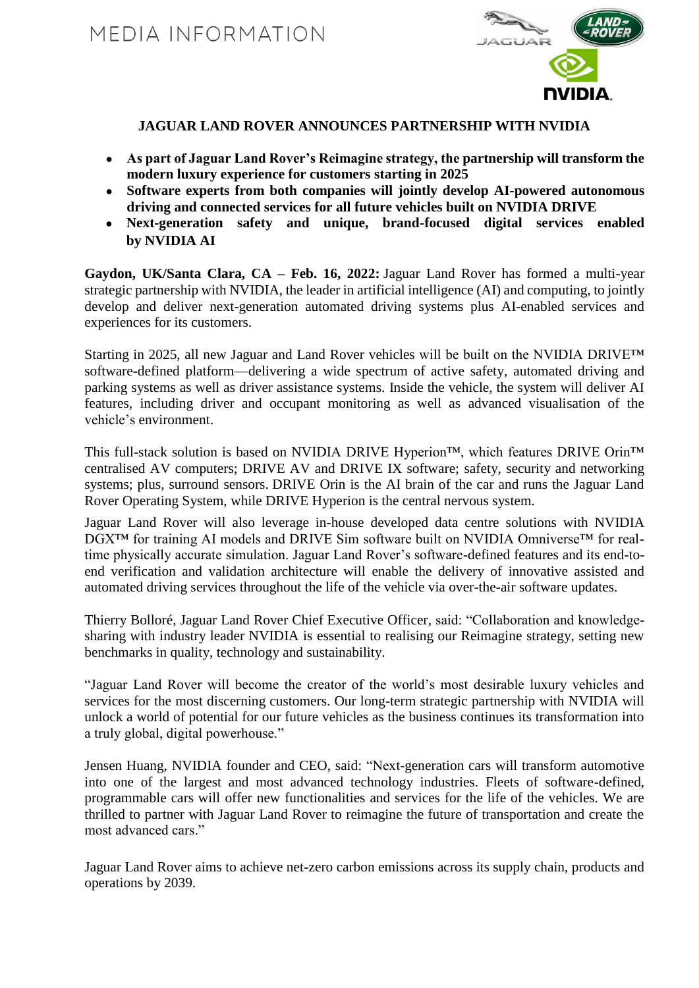

## **JAGUAR LAND ROVER ANNOUNCES PARTNERSHIP WITH NVIDIA**

- **As part of Jaguar Land Rover's Reimagine strategy, the partnership will transform the modern luxury experience for customers starting in 2025**
- **Software experts from both companies will jointly develop AI-powered autonomous driving and connected services for all future vehicles built on NVIDIA DRIVE**
- **Next-generation safety and unique, brand-focused digital services enabled by NVIDIA AI**

**Gaydon, UK/Santa Clara, CA – Feb. 16, 2022:** Jaguar Land Rover has formed a multi-year strategic partnership with NVIDIA, the leader in artificial intelligence (AI) and computing, to jointly develop and deliver next-generation automated driving systems plus AI-enabled services and experiences for its customers.

Starting in 2025, all new Jaguar and Land Rover vehicles will be built on the NVIDIA DRIVE™ software-defined platform—delivering a wide spectrum of active safety, automated driving and parking systems as well as driver assistance systems. Inside the vehicle, the system will deliver AI features, including driver and occupant monitoring as well as advanced visualisation of the vehicle's environment.

This full-stack solution is based on NVIDIA DRIVE Hyperion™, which features DRIVE Orin™ centralised AV computers; DRIVE AV and DRIVE IX software; safety, security and networking systems; plus, surround sensors. DRIVE Orin is the AI brain of the car and runs the Jaguar Land Rover Operating System, while DRIVE Hyperion is the central nervous system.

Jaguar Land Rover will also leverage in-house developed data centre solutions with NVIDIA DGX<sup>™</sup> for training AI models and DRIVE Sim software built on NVIDIA Omniverse<sup>™</sup> for realtime physically accurate simulation. Jaguar Land Rover's software-defined features and its end-toend verification and validation architecture will enable the delivery of innovative assisted and automated driving services throughout the life of the vehicle via over-the-air software updates.

Thierry Bolloré, Jaguar Land Rover Chief Executive Officer, said: "Collaboration and knowledgesharing with industry leader NVIDIA is essential to realising our Reimagine strategy, setting new benchmarks in quality, technology and sustainability.

"Jaguar Land Rover will become the creator of the world's most desirable luxury vehicles and services for the most discerning customers. Our long-term strategic partnership with NVIDIA will unlock a world of potential for our future vehicles as the business continues its transformation into a truly global, digital powerhouse."

Jensen Huang, NVIDIA founder and CEO, said: "Next-generation cars will transform automotive into one of the largest and most advanced technology industries. Fleets of software-defined, programmable cars will offer new functionalities and services for the life of the vehicles. We are thrilled to partner with Jaguar Land Rover to reimagine the future of transportation and create the most advanced cars."

Jaguar Land Rover aims to achieve net-zero carbon emissions across its supply chain, products and operations by 2039.